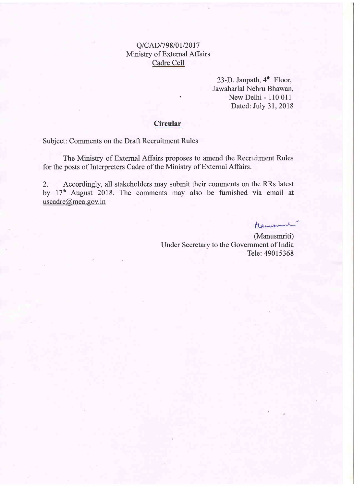#### Q/CAD/798/01/2017 Ministry of External Affairs Cadre Cell

23-D, Janpath,  $4<sup>th</sup>$  Floor, Jawaharlal Nehru Bhawan, New Delhi - 110 011 Dated: July 31,2018

#### **Circular**

Subject: Comments on the Draft Recruitment Rules

The Ministry of External Affairs proposes to amend the Recruitment Rules for the posts of Interpreters Cadre of the Ministry of External Affairs.

2. Accordingly, all stakeholders may submit their comments on the RRs latest by 17<sup>th</sup> August 2018. The comments may also be furnished via email at uscadre@mea.gov.in

Mauriti

(Manusmriti) Under Secretary to the Government of India Tele: 49015368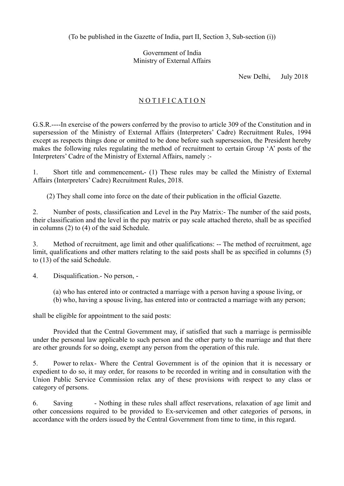(To be published in the Gazette of India, part II, Section 3, Sub-section (i))

Government of India Ministry of External Affairs

New Delhi, July 2018

### NOTIFICATION

G.S.R.----In exercise of the powers conferred by the proviso to article 309 of the Constitution and in supersession of the Ministry of External Affairs (Interpreters' Cadre) Recruitment Rules, 1994 except as respects things done or omitted to be done before such supersession, the President hereby makes the following rules regulating the method of recruitment to certain Group 'A' posts of the Interpreters' Cadre of the Ministry of External Affairs, namely :-

1. Short title and commencement**.**- (1) These rules may be called the Ministry of External Affairs (Interpreters' Cadre) Recruitment Rules, 2018.

(2) They shall come into force on the date of their publication in the official Gazette.

2. Number of posts, classification and Level in the Pay Matrix:- The number of the said posts, their classification and the level in the pay matrix or pay scale attached thereto, shall be as specified in columns (2) to (4) of the said Schedule.

3. Method of recruitment, age limit and other qualifications: -- The method of recruitment, age limit, qualifications and other matters relating to the said posts shall be as specified in columns (5) to (13) of the said Schedule.

4. Disqualification.- No person, -

(a) who has entered into or contracted a marriage with a person having a spouse living, or

(b) who, having a spouse living, has entered into or contracted a marriage with any person;

shall be eligible for appointment to the said posts:

Provided that the Central Government may, if satisfied that such a marriage is permissible under the personal law applicable to such person and the other party to the marriage and that there are other grounds for so doing, exempt any person from the operation of this rule.

5. Power to relax- Where the Central Government is of the opinion that it is necessary or expedient to do so, it may order, for reasons to be recorded in writing and in consultation with the Union Public Service Commission relax any of these provisions with respect to any class or category of persons.

6. Saving - Nothing in these rules shall affect reservations, relaxation of age limit and other concessions required to be provided to Ex-servicemen and other categories of persons, in accordance with the orders issued by the Central Government from time to time, in this regard.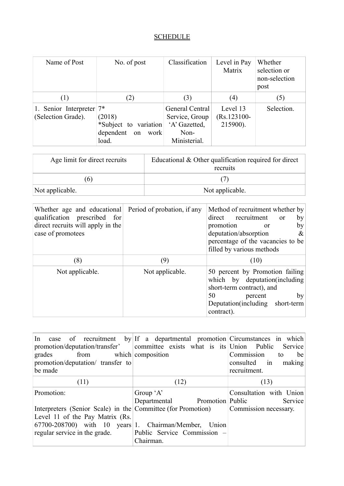## **SCHEDULE**

| Name of Post                                      | No. of post                                                         | Classification                                                             | Level in Pay<br>Matrix                 | Whether<br>selection or<br>non-selection<br>post |
|---------------------------------------------------|---------------------------------------------------------------------|----------------------------------------------------------------------------|----------------------------------------|--------------------------------------------------|
| (1)                                               | (2)                                                                 | (3)                                                                        | (4)                                    | (5)                                              |
| 1. Senior Interpreter $7^*$<br>(Selection Grade). | (2018)<br>*Subject to variation<br>dependent<br>work<br>on<br>load. | General Central<br>Service, Group<br>'A' Gazetted,<br>Non-<br>Ministerial. | Level 13<br>$(Rs.123100 -$<br>215900). | Selection.                                       |

| Age limit for direct recruits | Educational $&$ Other qualification required for direct<br>recruits |
|-------------------------------|---------------------------------------------------------------------|
| $\sigma$                      |                                                                     |
| Not applicable.               | Not applicable.                                                     |

| Whether age and educational Period of probation, if any<br>qualification prescribed for<br>direct recruits will apply in the<br>case of promotees |                 | Method of recruitment whether by<br>direct recruitment<br>$\alpha$<br>by<br>promotion<br>by<br><sub>or</sub><br>deputation/absorption<br>$\&$<br>percentage of the vacancies to be<br>filled by various methods |
|---------------------------------------------------------------------------------------------------------------------------------------------------|-----------------|-----------------------------------------------------------------------------------------------------------------------------------------------------------------------------------------------------------------|
| (8)                                                                                                                                               | (9)             | (10)                                                                                                                                                                                                            |
| Not applicable.                                                                                                                                   | Not applicable. | 50 percent by Promotion failing<br>which by deputation (including<br>short-term contract), and<br>50<br>by<br>percent<br>Deputation (including short-term<br>contract).                                         |

| In case of recruitment by If a departmental promotion Circumstances in which<br>promotion/deputation/transfer' committee exists what is its Union Public Service<br>from which composition<br>grades<br>promotion/deputation/ transfer to<br>be made |                                  | Commission<br>be<br>to<br>consulted in<br>making<br>recruitment. |
|------------------------------------------------------------------------------------------------------------------------------------------------------------------------------------------------------------------------------------------------------|----------------------------------|------------------------------------------------------------------|
| (11)                                                                                                                                                                                                                                                 | (12)                             | (13)                                                             |
| Promotion:                                                                                                                                                                                                                                           | Group $A$                        | Consultation with Union                                          |
|                                                                                                                                                                                                                                                      | Departmental<br>Promotion Public | Service                                                          |
| Interpreters (Senior Scale) in the Committee (for Promotion)                                                                                                                                                                                         |                                  | Commission necessary.                                            |
| Level 11 of the Pay Matrix (Rs.                                                                                                                                                                                                                      |                                  |                                                                  |
| 67700-208700) with 10 years 1. Chairman/Member, Union                                                                                                                                                                                                |                                  |                                                                  |
| regular service in the grade.                                                                                                                                                                                                                        | Public Service Commission –      |                                                                  |
|                                                                                                                                                                                                                                                      | Chairman.                        |                                                                  |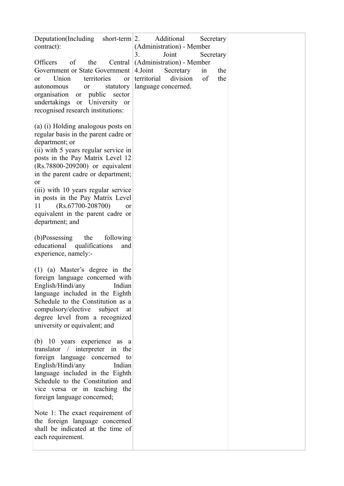| Deputation(Including short-term $ 2$ .<br>contract):<br>Officers<br>of<br>the<br>Central<br>Government or State Government<br>Union<br>territories<br>or<br>or<br>statutory<br>autonomous<br>or<br>organisation or public sector<br>undertakings or University or<br>recognised research institutions:                                                                                                                        | Additional<br>Secretary<br>(Administration) - Member<br>Joint<br>3.<br>Secretary<br>(Administration) - Member<br>4.Joint<br>Secretary<br>in<br>the<br>division<br>of<br>territorial<br>the<br>language concerned. |  |
|-------------------------------------------------------------------------------------------------------------------------------------------------------------------------------------------------------------------------------------------------------------------------------------------------------------------------------------------------------------------------------------------------------------------------------|-------------------------------------------------------------------------------------------------------------------------------------------------------------------------------------------------------------------|--|
| (a) (i) Holding analogous posts on<br>regular basis in the parent cadre or<br>department; or<br>(ii) with 5 years regular service in<br>posts in the Pay Matrix Level 12<br>(Rs.78800-209200) or equivalent<br>in the parent cadre or department;<br>or<br>(iii) with 10 years regular service<br>in posts in the Pay Matrix Level<br>$(Rs.67700-208700)$<br>11<br>or<br>equivalent in the parent cadre or<br>department; and |                                                                                                                                                                                                                   |  |
| (b)Possessing<br>the<br>following<br>educational<br>qualifications<br>and<br>experience, namely:-                                                                                                                                                                                                                                                                                                                             |                                                                                                                                                                                                                   |  |
| $(1)$ (a) Master's degree in the<br>foreign language concerned with<br>English/Hindi/any<br>Indian<br>language included in the Eighth<br>Schedule to the Constitution as a<br>compulsory/elective subject<br>at<br>degree level from a recognized<br>university or equivalent; and                                                                                                                                            |                                                                                                                                                                                                                   |  |
| (b) 10 years experience as a<br>translator / interpreter in the<br>foreign language concerned<br>to<br>English/Hindi/any<br>Indian<br>language included in the Eighth<br>Schedule to the Constitution and<br>vice versa or in teaching the<br>foreign language concerned;                                                                                                                                                     |                                                                                                                                                                                                                   |  |
| Note 1: The exact requirement of<br>the foreign language concerned<br>shall be indicated at the time of<br>each requirement.                                                                                                                                                                                                                                                                                                  |                                                                                                                                                                                                                   |  |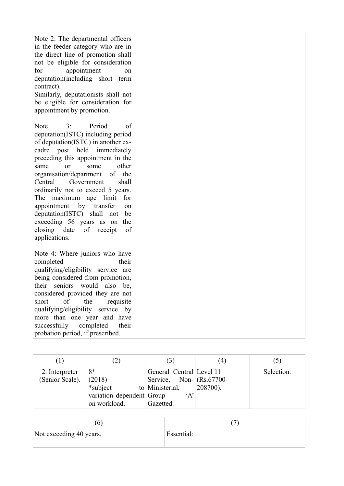| Note 2: The departmental officers<br>in the feeder category who are in<br>the direct line of promotion shall<br>not be eligible for consideration<br>appointment<br>for<br>on<br>deputation(including short term<br>contract).<br>Similarly, deputationists shall not<br>be eligible for consideration for<br>appointment by promotion.                                                                                                                                                                                       |  |
|-------------------------------------------------------------------------------------------------------------------------------------------------------------------------------------------------------------------------------------------------------------------------------------------------------------------------------------------------------------------------------------------------------------------------------------------------------------------------------------------------------------------------------|--|
| 3:<br>Period<br>Note<br>of<br>deputation(ISTC) including period<br>of deputation(ISTC) in another ex-<br>cadre post held immediately<br>preceding this appointment in the<br>other<br>some<br>same<br>or<br>organisation/department<br>of<br>the<br>Government<br>Central<br>shall<br>ordinarily not to exceed 5 years.<br>The maximum age limit<br>for<br>appointment by transfer<br>on<br>deputation(ISTC)<br>shall<br>not<br>be<br>exceeding 56 years as on<br>the<br>closing date<br>of<br>receipt<br>of<br>applications. |  |
| Note 4: Where juniors who have<br>completed<br>their<br>qualifying/eligibility service are<br>being considered from promotion,<br>their seniors would<br>also<br>be,<br>considered provided they are not<br>of<br>short<br>the<br>requisite<br>qualifying/eligibility service by<br>more than one year and have<br>completed<br>successfully<br>their<br>probation period, if prescribed.                                                                                                                                     |  |

|                                   |                                                                       | $\left(3\right)$                                                                                               | (4) |            |
|-----------------------------------|-----------------------------------------------------------------------|----------------------------------------------------------------------------------------------------------------|-----|------------|
| 2. Interpreter<br>(Senior Scale). | 8*<br>(2018)<br>*subject<br>variation dependent Group<br>on workload. | General Central Level 11<br>Service, Non- $(Rs.67700-$<br>to Ministerial, $\qquad$ (208700).<br>A<br>Gazetted. |     | Selection. |

| Not exceeding 40 years. | Essential: |
|-------------------------|------------|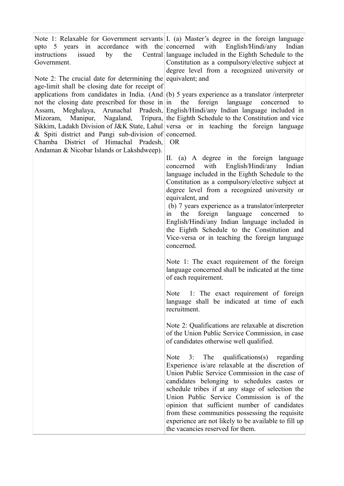upto 5 years in accordance with the concerned instructions issued by the Government.

Note 2: The crucial date for determining the equivalent; and age-limit shall be closing date for receipt of not the closing date prescribed for those in in the Mizoram, Manipur, Nagaland, & Spiti district and Pangi sub-division of concerned. Chamba District of Himachal Pradesh, Andaman & Nicobar Islands or Lakshdweep).

Note 1: Relaxable for Government servants I. (a) Master's degree in the foreign language with English/Hindi/any Indian language included in the Eighth Schedule to the Constitution as a compulsory/elective subject at degree level from a recognized university or

applications from candidates in India. (And (b) 5 years experience as a translator /interpreter Assam, Meghalaya, Arunachal Pradesh, English/Hindi/any Indian language included in Sikkim, Ladakh Division of J&K State, Lahul versa or in teaching the foreign language foreign language concerned to Tripura, the Eighth Schedule to the Constitution and vice

OR

II. (a) A degree in the foreign language concerned with English/Hindi/any Indian language included in the Eighth Schedule to the Constitution as a compulsory/elective subject at degree level from a recognized university or equivalent, and

(b) 7 years experience as a translator/interpreter in the foreign language concerned English/Hindi/any Indian language included in the Eighth Schedule to the Constitution and Vice-versa or in teaching the foreign language concerned.

Note 1: The exact requirement of the foreign language concerned shall be indicated at the time of each requirement.

Note 1: The exact requirement of foreign language shall be indicated at time of each recruitment.

Note 2: Qualifications are relaxable at discretion of the Union Public Service Commission, in case of candidates otherwise well qualified.

Note 3: The qualifications(s) regarding Experience is/are relaxable at the discretion of Union Public Service Commission in the case of candidates belonging to schedules castes or schedule tribes if at any stage of selection the Union Public Service Commission is of the opinion that sufficient number of candidates from these communities possessing the requisite experience are not likely to be available to fill up the vacancies reserved for them.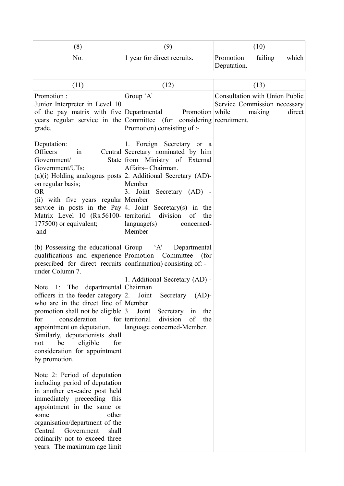|     |                             |                          | (10)    |       |
|-----|-----------------------------|--------------------------|---------|-------|
| NO. | 1 year for direct recruits. | Promotion<br>Deputation. | failing | which |

| (11)                                                                                                                                                                                                                                                                                                                                                                                                                                                                                                                                                      | (12)                                                                                                                                                                                                                                                                                                                                                         | (13)                                                                               |
|-----------------------------------------------------------------------------------------------------------------------------------------------------------------------------------------------------------------------------------------------------------------------------------------------------------------------------------------------------------------------------------------------------------------------------------------------------------------------------------------------------------------------------------------------------------|--------------------------------------------------------------------------------------------------------------------------------------------------------------------------------------------------------------------------------------------------------------------------------------------------------------------------------------------------------------|------------------------------------------------------------------------------------|
| Promotion:<br>Junior Interpreter in Level 10<br>of the pay matrix with five Departmental<br>grade.                                                                                                                                                                                                                                                                                                                                                                                                                                                        | Group 'A'<br>Promotion while<br>years regular service in the Committee (for considering recruitment.<br>Promotion) consisting of :-                                                                                                                                                                                                                          | Consultation with Union Public<br>Service Commission necessary<br>making<br>direct |
| Deputation:<br>Officers<br>1n<br>Government/<br>Government/UTs:<br>on regular basis;<br><b>OR</b><br>(ii) with five years regular Member<br>Matrix Level 10 (Rs.56100- territorial<br>177500) or equivalent;<br>and                                                                                                                                                                                                                                                                                                                                       | 1. Foreign Secretary or a<br>Central Secretary nominated by him<br>State from Ministry of External<br>Affairs-Chairman.<br>$(a)(i)$ Holding analogous posts 2. Additional Secretary $(AD)$ -<br>Member<br>3. Joint Secretary (AD) -<br>service in posts in the Pay 4. Joint Secretary(s) in the<br>division of<br>the<br>language(s)<br>concerned-<br>Member |                                                                                    |
| qualifications and experience Promotion Committee<br>prescribed for direct recruits confirmation) consisting of: -<br>under Column 7.<br>Note 1: The departmental Chairman<br>officers in the feeder category $ 2$ . Joint<br>who are in the direct line of Member<br>promotion shall not be eligible $3$ . Joint<br>for<br>consideration<br>appointment on deputation.   language concerned-Member.<br>Similarly, deputationists shall<br>be<br>eligible<br>for<br>not<br>consideration for appointment<br>by promotion.<br>Note 2: Period of deputation | (b) Possessing the educational Group 'A' Departmental<br>(for<br>1. Additional Secretary (AD) -<br>Secretary<br>$(AD)$ -<br>Secretary in<br>the<br>for territorial<br>division<br>of<br>the                                                                                                                                                                  |                                                                                    |
| including period of deputation<br>in another ex-cadre post held<br>immediately preceeding this<br>appointment in the same or<br>other<br>some<br>organisation/department of the<br>Government<br>Central<br>shall<br>ordinarily not to exceed three<br>years. The maximum age limit                                                                                                                                                                                                                                                                       |                                                                                                                                                                                                                                                                                                                                                              |                                                                                    |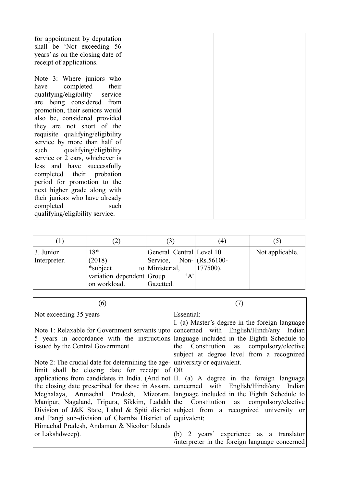| for appointment by deputation<br>shall be 'Not exceeding 56<br>years' as on the closing date of<br>receipt of applications. |  |
|-----------------------------------------------------------------------------------------------------------------------------|--|
| Note 3: Where juniors who                                                                                                   |  |
| completed<br>their<br>have                                                                                                  |  |
| qualifying/eligibility service                                                                                              |  |
| are being considered from                                                                                                   |  |
| promotion, their seniors would                                                                                              |  |
| also be, considered provided                                                                                                |  |
| they are not short of the                                                                                                   |  |
| requisite qualifying/eligibility                                                                                            |  |
| service by more than half of                                                                                                |  |
| qualifying/eligibility<br>such                                                                                              |  |
| service or 2 ears, whichever is                                                                                             |  |
| less and have successfully                                                                                                  |  |
| completed their probation                                                                                                   |  |
| period for promotion to the                                                                                                 |  |
| next higher grade along with                                                                                                |  |
| their juniors who have already                                                                                              |  |
| completed<br>such                                                                                                           |  |
| qualifying/eligibility service.                                                                                             |  |

|                           |                                                                          | (3)                                                                                                            | (4) |                 |
|---------------------------|--------------------------------------------------------------------------|----------------------------------------------------------------------------------------------------------------|-----|-----------------|
| 3. Junior<br>Interpreter. | $18*$<br>(2018)<br>*subject<br>variation dependent Group<br>on workload. | General Central Level 10<br>Service, Non- $(Rs.56100-$<br>to Ministerial, $\qquad$ 177500).<br>A'<br>Gazetted. |     | Not applicable. |

| (6)                                                                                                                                                                                                                    | (7)                                                                                                                                    |
|------------------------------------------------------------------------------------------------------------------------------------------------------------------------------------------------------------------------|----------------------------------------------------------------------------------------------------------------------------------------|
| Not exceeding 35 years                                                                                                                                                                                                 | Essential:                                                                                                                             |
| Note 1: Relaxable for Government servants upto concerned with English/Hindi/any Indian<br>5 years in accordance with the instructions language included in the Eighth Schedule to<br>issued by the Central Government. | I. (a) Master's degree in the foreign language<br>the Constitution as compulsory/elective<br>subject at degree level from a recognized |
| Note 2: The crucial date for determining the age- university or equivalent.                                                                                                                                            |                                                                                                                                        |
| limit shall be closing date for receipt of OR                                                                                                                                                                          |                                                                                                                                        |
| applications from candidates in India. (And not II. (a) A degree in the foreign language                                                                                                                               |                                                                                                                                        |
| the closing date prescribed for those in Assam, concerned with English/Hindi/any Indian                                                                                                                                |                                                                                                                                        |
| Meghalaya, Arunachal Pradesh, Mizoram, language included in the Eighth Schedule to                                                                                                                                     |                                                                                                                                        |
| Manipur, Nagaland, Tripura, Sikkim, Ladakh the Constitution as compulsory/elective                                                                                                                                     |                                                                                                                                        |
| Division of J&K State, Lahul & Spiti district subject from a recognized university or                                                                                                                                  |                                                                                                                                        |
| and Pangi sub-division of Chamba District of equivalent;                                                                                                                                                               |                                                                                                                                        |
| Himachal Pradesh, Andaman & Nicobar Islands                                                                                                                                                                            |                                                                                                                                        |
| or Lakshdweep).                                                                                                                                                                                                        | (b) 2 years' experience as a translator                                                                                                |
|                                                                                                                                                                                                                        | /interpreter in the foreign language concerned                                                                                         |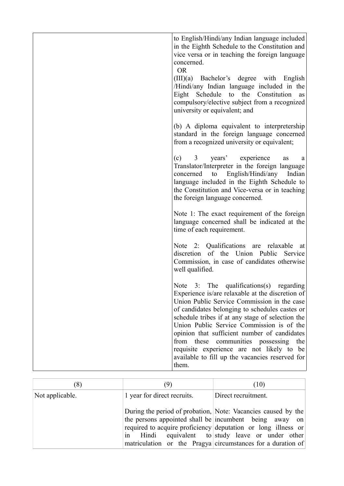| to English/Hindi/any Indian language included                                                                                                                                                                                                                                                                                                                                                                                                                                                         |
|-------------------------------------------------------------------------------------------------------------------------------------------------------------------------------------------------------------------------------------------------------------------------------------------------------------------------------------------------------------------------------------------------------------------------------------------------------------------------------------------------------|
| in the Eighth Schedule to the Constitution and<br>vice versa or in teaching the foreign language<br>concerned.<br><b>OR</b>                                                                                                                                                                                                                                                                                                                                                                           |
| (III)(a) Bachelor's degree with English<br>/Hindi/any Indian language included in the<br>Eight Schedule to the Constitution<br>as<br>compulsory/elective subject from a recognized<br>university or equivalent; and                                                                                                                                                                                                                                                                                   |
| (b) A diploma equivalent to interpretership<br>standard in the foreign language concerned<br>from a recognized university or equivalent;                                                                                                                                                                                                                                                                                                                                                              |
| (c) 3 years' experience<br>as<br>a<br>Translator/Interpreter in the foreign language<br>concerned to English/Hindi/any<br>Indian<br>language included in the Eighth Schedule to<br>the Constitution and Vice-versa or in teaching<br>the foreign language concerned.                                                                                                                                                                                                                                  |
| Note 1: The exact requirement of the foreign<br>language concerned shall be indicated at the<br>time of each requirement.                                                                                                                                                                                                                                                                                                                                                                             |
| Note 2: Qualifications are relaxable<br>at<br>discretion of the Union Public<br>Service<br>Commission, in case of candidates otherwise<br>well qualified.                                                                                                                                                                                                                                                                                                                                             |
| Note 3: The qualifications(s) regarding<br>Experience is/are relaxable at the discretion of<br>Union Public Service Commission in the case<br>of candidates belonging to schedules castes or<br>schedule tribes if at any stage of selection the<br>Union Public Service Commission is of the<br>opinion that sufficient number of candidates<br>from these<br>communities possessing<br>the<br>requisite experience are not likely to be<br>available to fill up the vacancies reserved for<br>them. |
|                                                                                                                                                                                                                                                                                                                                                                                                                                                                                                       |

| (8)             | (9)                         | (10)                                                                                                                                                                                                                                                                                                |
|-----------------|-----------------------------|-----------------------------------------------------------------------------------------------------------------------------------------------------------------------------------------------------------------------------------------------------------------------------------------------------|
| Not applicable. | 1 year for direct recruits. | Direct recruitment.                                                                                                                                                                                                                                                                                 |
|                 | in Hindi                    | During the period of probation, Note: Vacancies caused by the<br>the persons appointed shall be incumbent being away on<br>required to acquire proficiency deputation or long illness or<br>equivalent to study leave or under other<br>matriculation or the Pragya circumstances for a duration of |